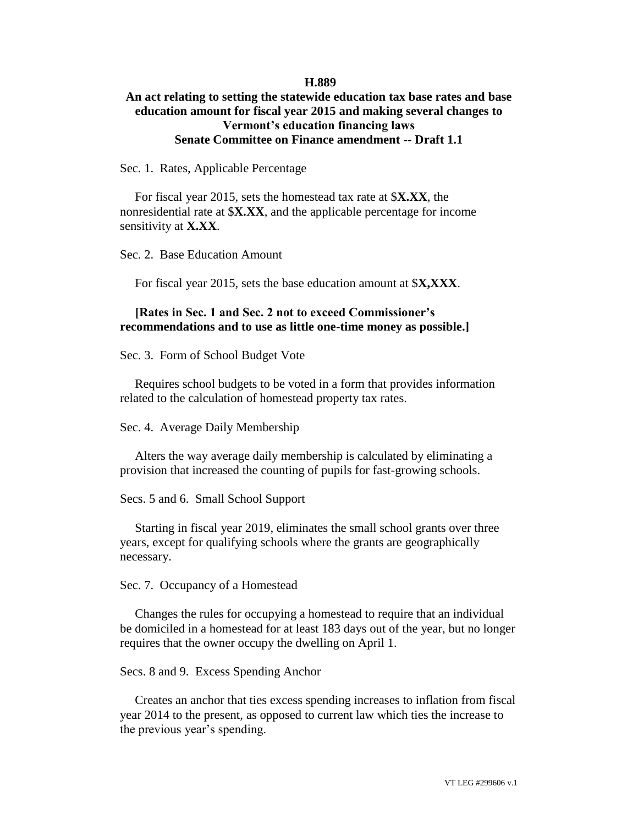## **H.889**

## **An act relating to setting the statewide education tax base rates and base education amount for fiscal year 2015 and making several changes to Vermont's education financing laws Senate Committee on Finance amendment -- Draft 1.1**

Sec. 1. Rates, Applicable Percentage

For fiscal year 2015, sets the homestead tax rate at \$**X.XX**, the nonresidential rate at \$**X.XX**, and the applicable percentage for income sensitivity at **X.XX**.

Sec. 2. Base Education Amount

For fiscal year 2015, sets the base education amount at \$**X,XXX**.

## **[Rates in Sec. 1 and Sec. 2 not to exceed Commissioner's recommendations and to use as little one-time money as possible.]**

Sec. 3. Form of School Budget Vote

Requires school budgets to be voted in a form that provides information related to the calculation of homestead property tax rates.

Sec. 4. Average Daily Membership

Alters the way average daily membership is calculated by eliminating a provision that increased the counting of pupils for fast-growing schools.

Secs. 5 and 6. Small School Support

Starting in fiscal year 2019, eliminates the small school grants over three years, except for qualifying schools where the grants are geographically necessary.

Sec. 7. Occupancy of a Homestead

Changes the rules for occupying a homestead to require that an individual be domiciled in a homestead for at least 183 days out of the year, but no longer requires that the owner occupy the dwelling on April 1.

Secs. 8 and 9. Excess Spending Anchor

Creates an anchor that ties excess spending increases to inflation from fiscal year 2014 to the present, as opposed to current law which ties the increase to the previous year's spending.